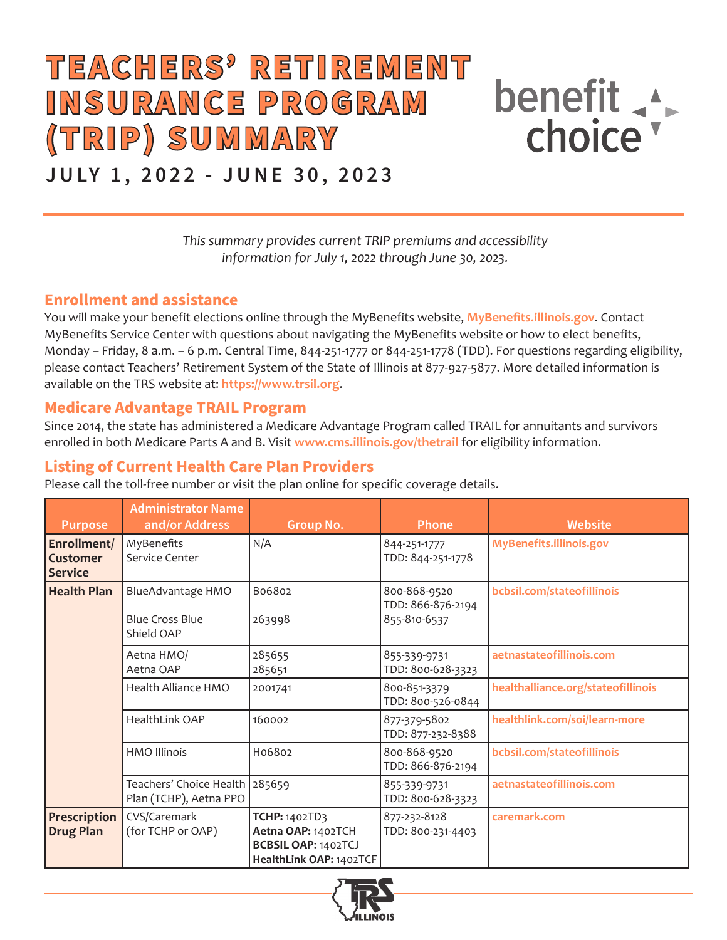# **TEACHERS' RETIREMENT I N S U RA N C E P R O G RA M (TRIP) SUMMARY**



# **JULY 1, 2022 - JUNE 30, 2023**

*This summary provides current TRIP premiums and accessibility information for July 1, 2022 through June 30, 2023.*

#### **Enrollment and assistance**

You will make your benefit elections online through the MyBenefits website, **[MyBenefits.illinois.gov](http://MyBenefits.illinois.gov)**. Contact MyBenefits Service Center with questions about navigating the MyBenefits website or how to elect benefits, Monday – Friday, 8 a.m. – 6 p.m. Central Time, 844-251-1777 or 844-251-1778 (TDD). For questions regarding eligibility, please contact Teachers' Retirement System of the State of Illinois at 877-927-5877. More detailed information is available on the TRS website at: **https://www.trsil.org**.

#### **Medicare Advantage TRAIL Program**

Since 2014, the state has administered a Medicare Advantage Program called TRAIL for annuitants and survivors enrolled in both Medicare Parts A and B. Visit **[www.cms.illinois.gov/thetrail](http://www.cms.illinois.gov/thetrail)** for eligibility information.

# **Listing of Current Health Care Plan Providers**

Please call the toll-free number or visit the plan online for specific coverage details.

| <b>Purpose</b>                            | <b>Administrator Name</b><br>and/or Address               | <b>Group No.</b>                                                                             | <b>Phone</b>                                      | <b>Website</b>                     |
|-------------------------------------------|-----------------------------------------------------------|----------------------------------------------------------------------------------------------|---------------------------------------------------|------------------------------------|
| Enrollment/<br>Customer<br><b>Service</b> | MyBenefits<br>Service Center                              | N/A                                                                                          | 844-251-1777<br>TDD: 844-251-1778                 | MyBenefits.illinois.gov            |
| <b>Health Plan</b>                        | BlueAdvantage HMO<br><b>Blue Cross Blue</b><br>Shield OAP | B06802<br>263998                                                                             | 800-868-9520<br>TDD: 866-876-2194<br>855-810-6537 | bcbsil.com/stateofillinois         |
|                                           | Aetna HMO/<br>Aetna OAP                                   | 285655<br>285651                                                                             | 855-339-9731<br>TDD: 800-628-3323                 | aetnastateofillinois.com           |
|                                           | Health Alliance HMO                                       | 2001741                                                                                      | 800-851-3379<br>TDD: 800-526-0844                 | healthalliance.org/stateofillinois |
|                                           | <b>HealthLink OAP</b>                                     | 160002                                                                                       | 877-379-5802<br>TDD: 877-232-8388                 | healthlink.com/soi/learn-more      |
|                                           | <b>HMO Illinois</b>                                       | H06802                                                                                       | 800-868-9520<br>TDD: 866-876-2194                 | bcbsil.com/stateofillinois         |
|                                           | Teachers' Choice Health 285659<br>Plan (TCHP), Aetna PPO  |                                                                                              | 855-339-9731<br>TDD: 800-628-3323                 | aetnastateofillinois.com           |
| Prescription<br><b>Drug Plan</b>          | CVS/Caremark<br>(for TCHP or OAP)                         | TCHP: 1402TD3<br>Aetna OAP: 1402TCH<br><b>BCBSIL OAP: 1402TCJ</b><br>HealthLink OAP: 1402TCF | 877-232-8128<br>TDD: 800-231-4403                 | caremark.com                       |

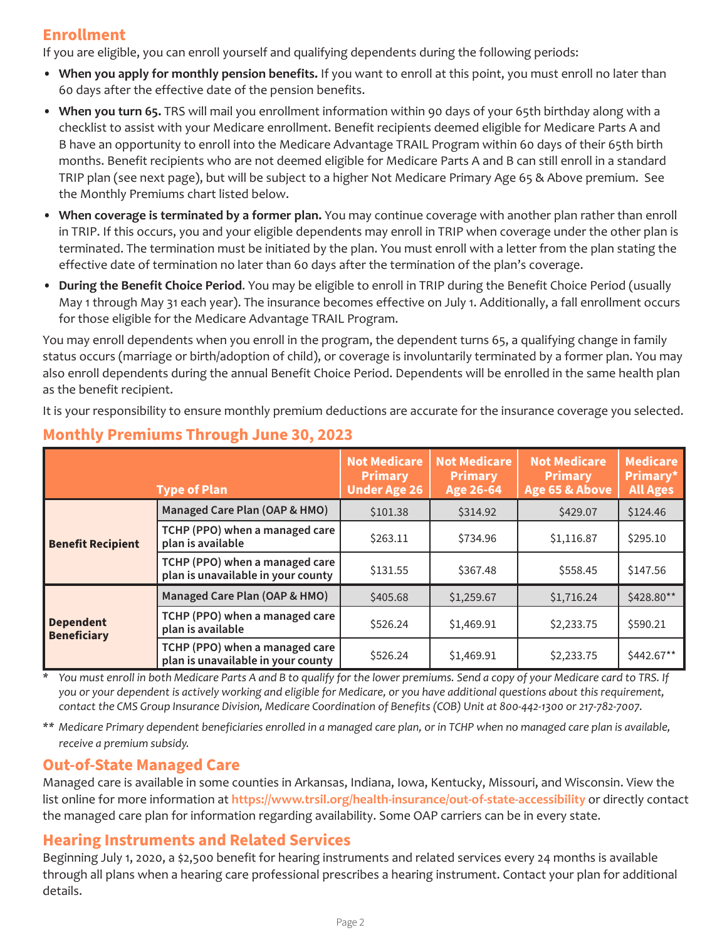# **Enrollment**

If you are eligible, you can enroll yourself and qualifying dependents during the following periods:

- **When you apply for monthly pension benefits.** If you want to enroll at this point, you must enroll no later than 60 days after the effective date of the pension benefits.
- **When you turn 65.** TRS will mail you enrollment information within 90 days of your 65th birthday along with a checklist to assist with your Medicare enrollment. Benefit recipients deemed eligible for Medicare Parts A and B have an opportunity to enroll into the Medicare Advantage TRAIL Program within 60 days of their 65th birth months. Benefit recipients who are not deemed eligible for Medicare Parts A and B can still enroll in a standard TRIP plan (see next page), but will be subject to a higher Not Medicare Primary Age 65 & Above premium. See the Monthly Premiums chart listed below.
- **When coverage is terminated by a former plan.** You may continue coverage with another plan rather than enroll in TRIP. If this occurs, you and your eligible dependents may enroll in TRIP when coverage under the other plan is terminated. The termination must be initiated by the plan. You must enroll with a letter from the plan stating the effective date of termination no later than 60 days after the termination of the plan's coverage.
- **During the Benefit Choice Period**. You may be eligible to enroll in TRIP during the Benefit Choice Period (usually May 1 through May 31 each year). The insurance becomes effective on July 1. Additionally, a fall enrollment occurs for those eligible for the Medicare Advantage TRAIL Program.

You may enroll dependents when you enroll in the program, the dependent turns 65, a qualifying change in family status occurs (marriage or birth/adoption of child), or coverage is involuntarily terminated by a former plan. You may also enroll dependents during the annual Benefit Choice Period. Dependents will be enrolled in the same health plan as the benefit recipient.

It is your responsibility to ensure monthly premium deductions are accurate for the insurance coverage you selected.

|                                        | <b>Type of Plan</b>                                                  | <b>Not Medicare</b><br><b>Primary</b><br><b>Under Age 26</b> | <b>Not Medicare</b><br><b>Primary</b><br><b>Age 26-64</b> | <b>Not Medicare</b><br><b>Primary</b><br>Age 65 & Above | Medicare<br>Primary*<br><b>All Ages</b> |
|----------------------------------------|----------------------------------------------------------------------|--------------------------------------------------------------|-----------------------------------------------------------|---------------------------------------------------------|-----------------------------------------|
|                                        | Managed Care Plan (OAP & HMO)                                        | \$101.38                                                     | \$314.92                                                  | \$429.07                                                | \$124.46                                |
| <b>Benefit Recipient</b>               | TCHP (PPO) when a managed care<br>plan is available                  | \$263.11                                                     | \$734.96                                                  | \$1,116.87                                              | \$295.10                                |
|                                        | TCHP (PPO) when a managed care<br>plan is unavailable in your county | \$131.55                                                     | \$367.48                                                  | \$558.45                                                | \$147.56                                |
|                                        | Managed Care Plan (OAP & HMO)                                        | \$405.68                                                     | \$1,259.67                                                | \$1,716.24                                              | \$428.80**                              |
| <b>Dependent</b><br><b>Beneficiary</b> | TCHP (PPO) when a managed care<br>plan is available                  | \$526.24                                                     | \$1,469.91                                                | \$2,233.75                                              | \$590.21                                |
|                                        | TCHP (PPO) when a managed care<br>plan is unavailable in your county | \$526.24                                                     | \$1,469.91                                                | \$2,233.75                                              | \$442.67**                              |

# **Monthly Premiums Through June 30, 2023**

*\* You must enroll in both Medicare Parts A and B to qualify for the lower premiums. Send a copy of your Medicare card to TRS. If you or your dependent is actively working and eligible for Medicare, or you have additional questions about this requirement, contact the CMS Group Insurance Division, Medicare Coordination of Benefits (COB) Unit at 800-442-1300 or 217-782-7007.* 

*\*\* Medicare Primary dependent beneficiaries enrolled in a managed care plan, or in TCHP when no managed care plan is available, receive a premium subsidy.*

#### **Out-of-State Managed Care**

Managed care is available in some counties in Arkansas, Indiana, Iowa, Kentucky, Missouri, and Wisconsin. View the list online for more information at **https://www.trsil.org/health-insurance/out-of-state-accessibility** or directly contact the managed care plan for information regarding availability. Some OAP carriers can be in every state.

#### **Hearing Instruments and Related Services**

Beginning July 1, 2020, a \$2,500 benefit for hearing instruments and related services every 24 months is available through all plans when a hearing care professional prescribes a hearing instrument. Contact your plan for additional details.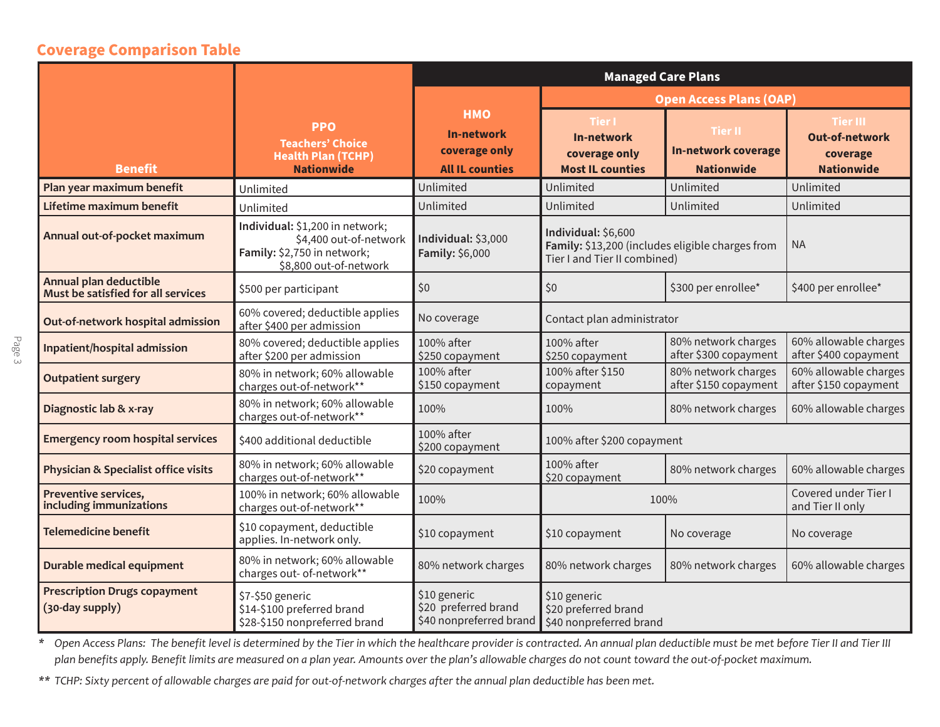#### **Coverage Comparison Table**

|                                                              |                                                                                                                    | <b>Managed Care Plans</b>                                                  |                                                                                                         |                                                            |                                                                           |  |
|--------------------------------------------------------------|--------------------------------------------------------------------------------------------------------------------|----------------------------------------------------------------------------|---------------------------------------------------------------------------------------------------------|------------------------------------------------------------|---------------------------------------------------------------------------|--|
|                                                              |                                                                                                                    |                                                                            | <b>Open Access Plans (OAP)</b>                                                                          |                                                            |                                                                           |  |
| <b>Benefit</b>                                               | <b>PPO</b><br><b>Teachers' Choice</b><br><b>Health Plan (TCHP)</b><br><b>Nationwide</b>                            | <b>HMO</b><br><b>In-network</b><br>coverage only<br><b>All IL counties</b> | <b>Tier I</b><br><b>In-network</b><br>coverage only<br><b>Most IL counties</b>                          | Tier II<br><b>In-network coverage</b><br><b>Nationwide</b> | <b>Tier III</b><br><b>Out-of-network</b><br>coverage<br><b>Nationwide</b> |  |
| Plan year maximum benefit                                    | Unlimited                                                                                                          | Unlimited                                                                  | Unlimited                                                                                               | Unlimited                                                  | Unlimited                                                                 |  |
| Lifetime maximum benefit                                     | Unlimited                                                                                                          | Unlimited                                                                  | Unlimited                                                                                               | Unlimited                                                  | Unlimited                                                                 |  |
| Annual out-of-pocket maximum                                 | Individual: \$1,200 in network;<br>\$4,400 out-of-network<br>Family: \$2,750 in network;<br>\$8,800 out-of-network | Individual: \$3,000<br>Family: \$6,000                                     | Individual: \$6,600<br>Family: \$13,200 (includes eligible charges from<br>Tier I and Tier II combined) |                                                            | <b>NA</b>                                                                 |  |
| Annual plan deductible<br>Must be satisfied for all services | \$500 per participant                                                                                              | \$0                                                                        | \$0                                                                                                     | \$300 per enrollee*                                        | \$400 per enrollee*                                                       |  |
| Out-of-network hospital admission                            | 60% covered; deductible applies<br>after \$400 per admission                                                       | No coverage                                                                | Contact plan administrator                                                                              |                                                            |                                                                           |  |
| Inpatient/hospital admission                                 | 80% covered; deductible applies<br>after \$200 per admission                                                       | 100% after<br>\$250 copayment                                              | 100% after<br>\$250 copayment                                                                           | 80% network charges<br>after \$300 copayment               | 60% allowable charges<br>after \$400 copayment                            |  |
| <b>Outpatient surgery</b>                                    | 80% in network; 60% allowable<br>charges out-of-network**                                                          | 100% after<br>\$150 copayment                                              | 100% after \$150<br>copayment                                                                           | 80% network charges<br>after \$150 copayment               | 60% allowable charges<br>after \$150 copayment                            |  |
| Diagnostic lab & x-ray                                       | 80% in network; 60% allowable<br>charges out-of-network**                                                          | 100%                                                                       | 100%                                                                                                    | 80% network charges                                        | 60% allowable charges                                                     |  |
| <b>Emergency room hospital services</b>                      | \$400 additional deductible                                                                                        | 100% after<br>\$200 copayment                                              | 100% after \$200 copayment                                                                              |                                                            |                                                                           |  |
| Physician & Specialist office visits                         | 80% in network; 60% allowable<br>charges out-of-network**                                                          | \$20 copayment                                                             | 100% after<br>\$20 copayment                                                                            | 80% network charges                                        | 60% allowable charges                                                     |  |
| Preventive services,<br>including immunizations              | 100% in network; 60% allowable<br>charges out-of-network**                                                         | 100%                                                                       | 100%                                                                                                    |                                                            | Covered under Tier I<br>and Tier II only                                  |  |
| <b>Telemedicine benefit</b>                                  | \$10 copayment, deductible<br>applies. In-network only.                                                            | \$10 copayment                                                             | \$10 copayment                                                                                          | No coverage                                                | No coverage                                                               |  |
| Durable medical equipment                                    | 80% in network; 60% allowable<br>charges out- of-network**                                                         | 80% network charges                                                        | 80% network charges                                                                                     | 80% network charges                                        | 60% allowable charges                                                     |  |
| <b>Prescription Drugs copayment</b><br>(30-day supply)       | \$7-\$50 generic<br>\$14-\$100 preferred brand<br>\$28-\$150 nonpreferred brand                                    | \$10 generic<br>\$20 preferred brand<br>\$40 nonpreferred brand            | \$10 generic<br>\$20 preferred brand<br>\$40 nonpreferred brand                                         |                                                            |                                                                           |  |

*\* Open Access Plans: The benefit level is determined by the Tier in which the healthcare provider is contracted. An annual plan deductible must be met before Tier II and Tier III plan benefits apply. Benefit limits are measured on a plan year. Amounts over the plan's allowable charges do not count toward the out-of-pocket maximum.*

*\*\* TCHP: Sixty percent of allowable charges are paid for out-of-network charges after the annual plan deductible has been met.*